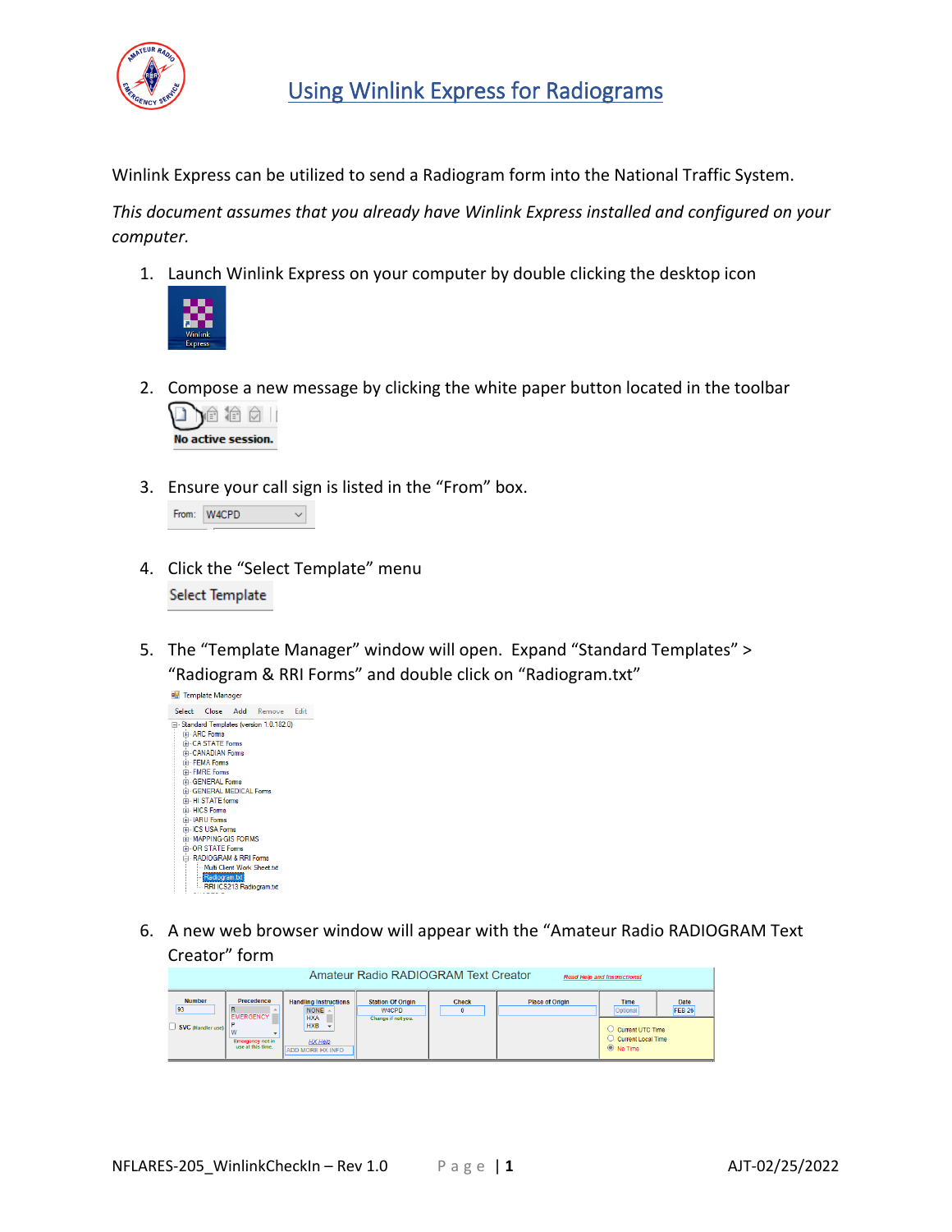

Winlink Express can be utilized to send a Radiogram form into the National Traffic System.

*This document assumes that you already have Winlink Express installed and configured on your computer.*

1. Launch Winlink Express on your computer by double clicking the desktop icon



2. Compose a new message by clicking the white paper button located in the toolbar



3. Ensure your call sign is listed in the "From" box.

| From: W4CPD |  |
|-------------|--|
|             |  |

- 4. Click the "Select Template" menu Select Template
- 5. The "Template Manager" window will open. Expand "Standard Templates" > "Radiogram & RRI Forms" and double click on "Radiogram.txt"



6. A new web browser window will appear with the "Amateur Radio RADIOGRAM Text Creator" form

|                                          |                                                                         |                                                                                                               | Amateur Radio RADIOGRAM Text Creator                    |              |                        | <b>Read Help and Instructions!</b>                                               |                       |
|------------------------------------------|-------------------------------------------------------------------------|---------------------------------------------------------------------------------------------------------------|---------------------------------------------------------|--------------|------------------------|----------------------------------------------------------------------------------|-----------------------|
| <b>Number</b><br>93<br>SVC (Handler use) | Precedence<br>EMERGENCY<br><b>Emergency not in</b><br>use at this time. | <b>Handling Instructions</b><br>NONE $\sim$<br><b>HXA</b><br><b>HXB</b><br>HX Help<br><b>ADD MORE HX INFO</b> | <b>Station Of Origin</b><br>W4CPD<br>Change if not you. | <b>Check</b> | <b>Place of Origin</b> | <b>Time</b><br>Optional<br>Current UTC Time<br>Current Local Time<br>$@$ No Time | Date<br><b>FEB 26</b> |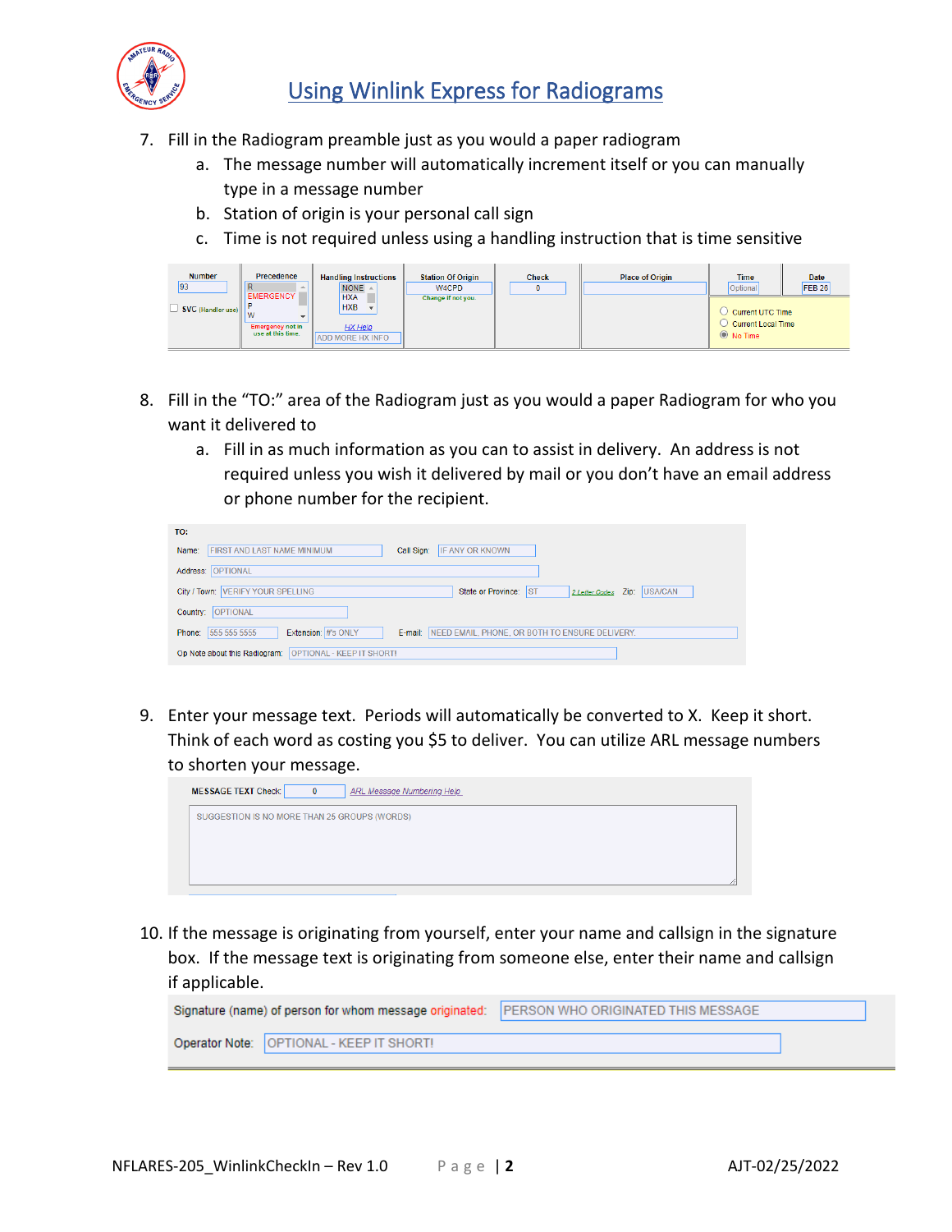

## Using Winlink Express for Radiograms

- 7. Fill in the Radiogram preamble just as you would a paper radiogram
	- a. The message number will automatically increment itself or you can manually type in a message number
	- b. Station of origin is your personal call sign
	- c. Time is not required unless using a handling instruction that is time sensitive

| <b>Number</b>     | Precedence                                           | <b>Handling Instructions</b>                                   | <b>Station Of Origin</b> | <b>Check</b> | <b>Place of Origin</b> | <b>Time</b>                                                      | <b>Date</b>   |
|-------------------|------------------------------------------------------|----------------------------------------------------------------|--------------------------|--------------|------------------------|------------------------------------------------------------------|---------------|
| 93                | <b>EMERGENCY</b>                                     | NONE $\triangle$                                               | W4CPD                    |              |                        | Optional                                                         | <b>FEB 26</b> |
| SVC (Handler use) | l va<br><b>Emergency not in</b><br>use at this time. | <b>HXA</b><br><b>HXB</b><br>HX Help<br><b>ADD MORE HX INFO</b> | Change if not you.       |              |                        | Current UTC Time<br><b>Current Local Time</b><br>$\odot$ No Time |               |

- 8. Fill in the "TO:" area of the Radiogram just as you would a paper Radiogram for who you want it delivered to
	- a. Fill in as much information as you can to assist in delivery. An address is not required unless you wish it delivered by mail or you don't have an email address or phone number for the recipient.

| TO:                                                                                                        |
|------------------------------------------------------------------------------------------------------------|
| <b>IF ANY OR KNOWN</b><br><b>FIRST AND LAST NAME MINIMUM</b><br>Call Sign:<br>Name:                        |
| Address: OPTIONAL                                                                                          |
| City / Town: VERIFY YOUR SPELLING<br>State or Province: IST<br><b>USA/CAN</b><br>2 Letter Codes Zip:       |
| Country: OPTIONAL                                                                                          |
| Extension: #'s ONLY<br>555 555 5555<br>NEED EMAIL, PHONE, OR BOTH TO ENSURE DELIVERY.<br>Phone:<br>E-mail: |
| Op Note about this Radiogram: OPTIONAL - KEEP IT SHORT!                                                    |

9. Enter your message text. Periods will automatically be converted to X. Keep it short. Think of each word as costing you \$5 to deliver. You can utilize ARL message numbers to shorten your message.



10. If the message is originating from yourself, enter your name and callsign in the signature box. If the message text is originating from someone else, enter their name and callsign if applicable.

| Signature (name) of person for whom message originated:   PERSON WHO ORIGINATED THIS MESSAGE |                                            |  |
|----------------------------------------------------------------------------------------------|--------------------------------------------|--|
|                                                                                              | Operator Note:   OPTIONAL - KEEP IT SHORT! |  |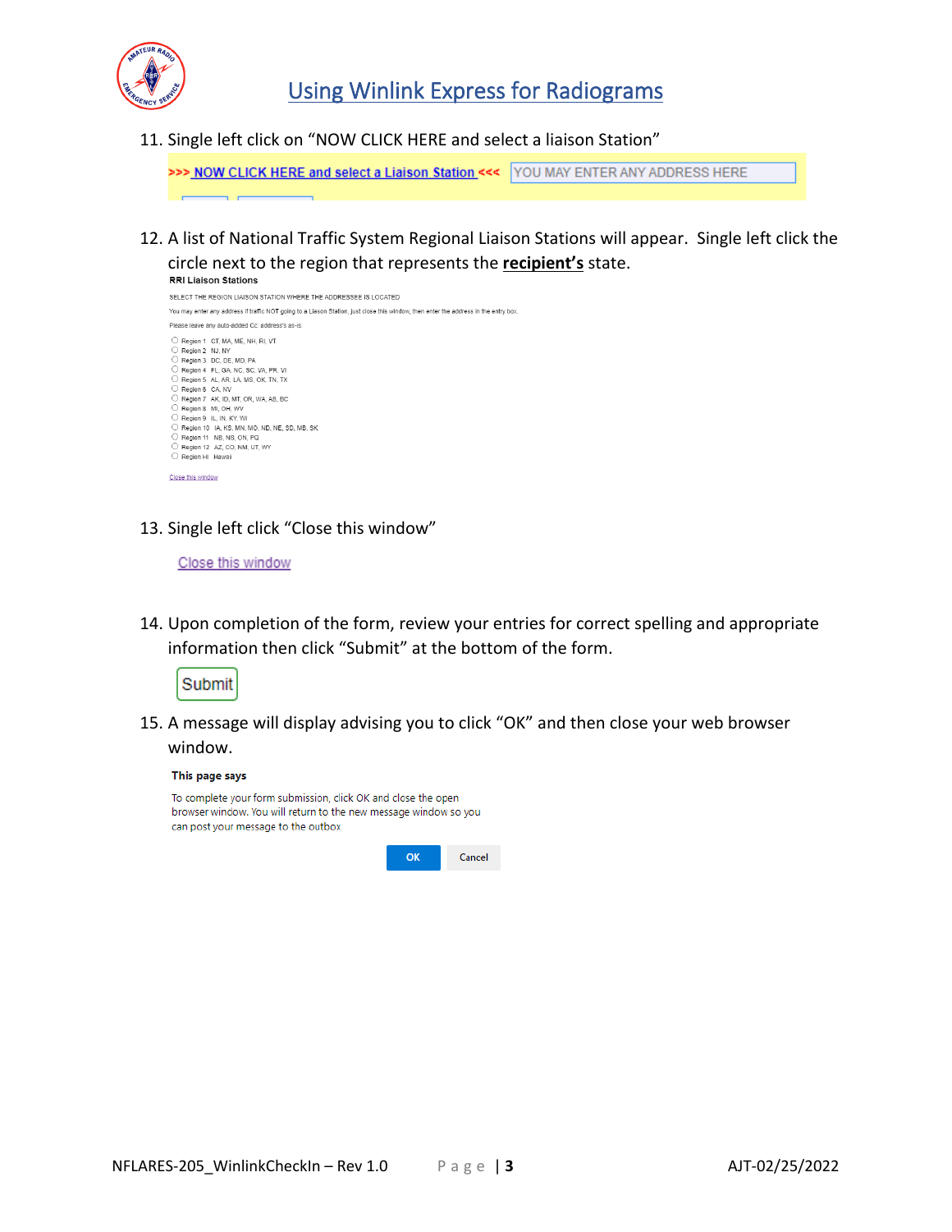

11. Single left click on "NOW CLICK HERE and select a liaison Station"

>>> NOW CLICK HERE and select a Liaison Station <<< | YOU MAY ENTER ANY ADDRESS HERE

12. A list of National Traffic System Regional Liaison Stations will appear. Single left click the circle next to the region that represents the **recipient's** state.



13. Single left click "Close this window"

## Close this window

14. Upon completion of the form, review your entries for correct spelling and appropriate information then click "Submit" at the bottom of the form.



15. A message will display advising you to click "OK" and then close your web browser window.